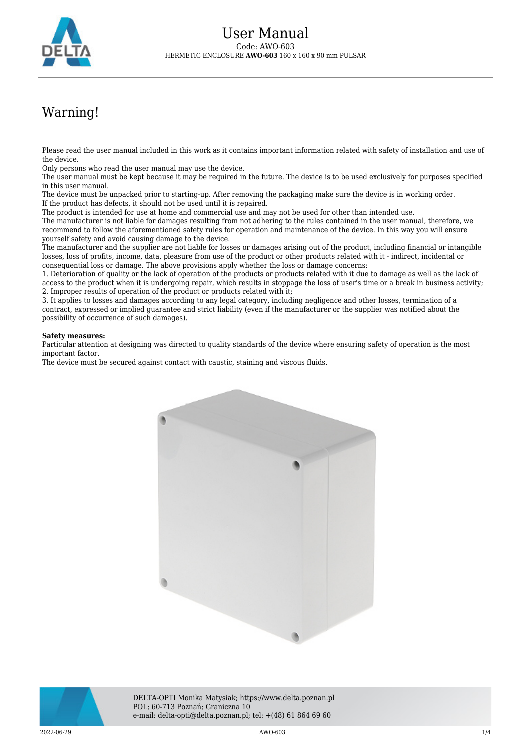

## Warning!

Please read the user manual included in this work as it contains important information related with safety of installation and use of the device.

Only persons who read the user manual may use the device.

The user manual must be kept because it may be required in the future. The device is to be used exclusively for purposes specified in this user manual.

The device must be unpacked prior to starting-up. After removing the packaging make sure the device is in working order. If the product has defects, it should not be used until it is repaired.

The product is intended for use at home and commercial use and may not be used for other than intended use.

The manufacturer is not liable for damages resulting from not adhering to the rules contained in the user manual, therefore, we recommend to follow the aforementioned safety rules for operation and maintenance of the device. In this way you will ensure yourself safety and avoid causing damage to the device.

The manufacturer and the supplier are not liable for losses or damages arising out of the product, including financial or intangible losses, loss of profits, income, data, pleasure from use of the product or other products related with it - indirect, incidental or consequential loss or damage. The above provisions apply whether the loss or damage concerns:

1. Deterioration of quality or the lack of operation of the products or products related with it due to damage as well as the lack of access to the product when it is undergoing repair, which results in stoppage the loss of user's time or a break in business activity; 2. Improper results of operation of the product or products related with it;

3. It applies to losses and damages according to any legal category, including negligence and other losses, termination of a contract, expressed or implied guarantee and strict liability (even if the manufacturer or the supplier was notified about the possibility of occurrence of such damages).

## **Safety measures:**

Particular attention at designing was directed to quality standards of the device where ensuring safety of operation is the most important factor.

The device must be secured against contact with caustic, staining and viscous fluids.





DELTA-OPTI Monika Matysiak; https://www.delta.poznan.pl POL; 60-713 Poznań; Graniczna 10 e-mail: delta-opti@delta.poznan.pl; tel: +(48) 61 864 69 60

2022-06-29 AWO-603 1/4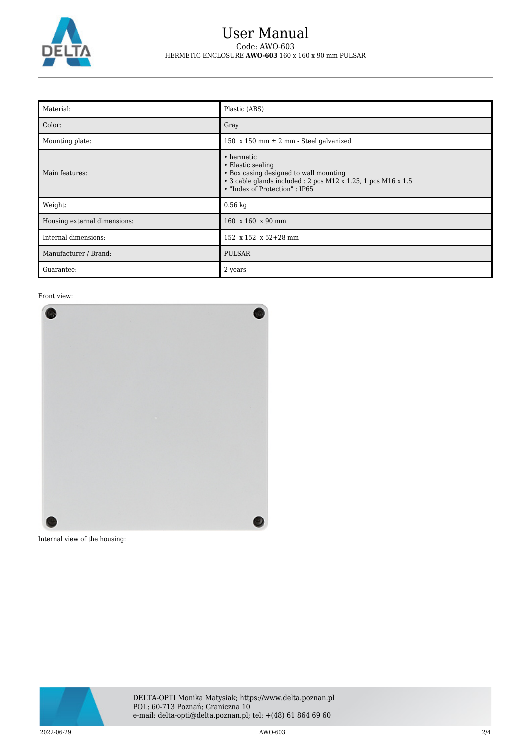

## User Manual Code: AWO-603 HERMETIC ENCLOSURE **AWO-603** 160 x 160 x 90 mm PULSAR

| Material:                    | Plastic (ABS)                                                                                                                                                                |
|------------------------------|------------------------------------------------------------------------------------------------------------------------------------------------------------------------------|
| Color:                       | Gray                                                                                                                                                                         |
| Mounting plate:              | 150 $x$ 150 mm $\pm$ 2 mm - Steel galvanized                                                                                                                                 |
| Main features:               | • hermetic<br>• Elastic sealing<br>• Box casing designed to wall mounting<br>• 3 cable glands included : 2 pcs M12 x 1.25, 1 pcs M16 x 1.5<br>• "Index of Protection" : IP65 |
| Weight:                      | $0.56$ kg                                                                                                                                                                    |
| Housing external dimensions: | 160 x 160 x 90 mm                                                                                                                                                            |
| Internal dimensions:         | 152 x 152 x 52+28 mm                                                                                                                                                         |
| Manufacturer / Brand:        | <b>PULSAR</b>                                                                                                                                                                |
| Guarantee:                   | 2 years                                                                                                                                                                      |

Front view:



Internal view of the housing:

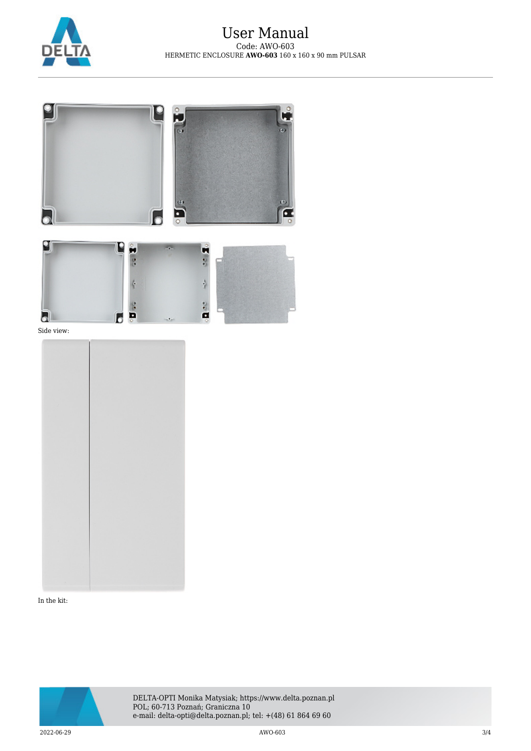





Side view:



In the kit:



DELTA-OPTI Monika Matysiak; https://www.delta.poznan.pl POL; 60-713 Poznań; Graniczna 10 e-mail: delta-opti@delta.poznan.pl; tel: +(48) 61 864 69 60

2022-06-29 AWO-603 3/4